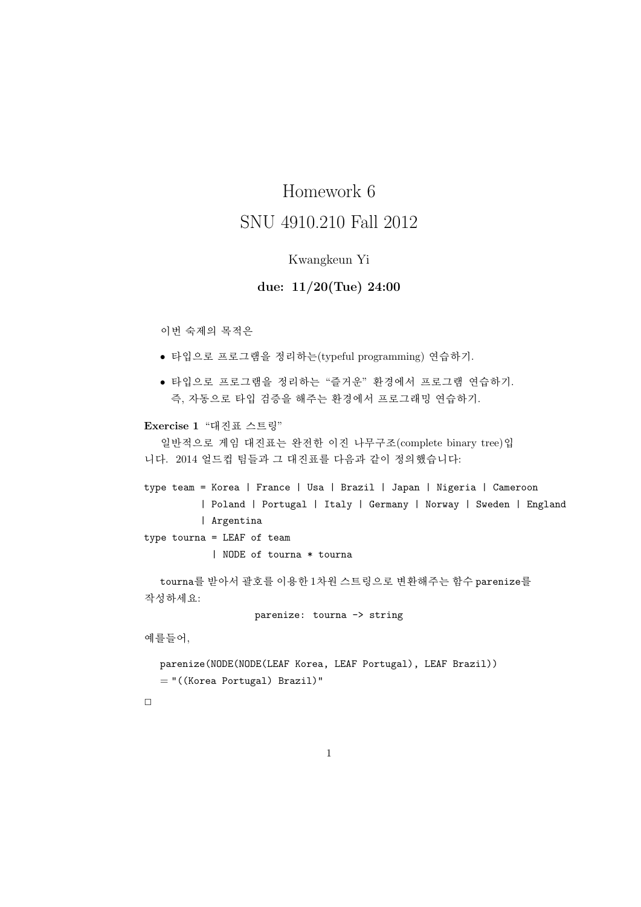# Homework 6 SNU 4910.210 Fall 2012

## Kwangkeun Yi

## due: 11/20(Tue) 24:00

### 이번 숙제의 목적은

- 타입으로 프로그램을 정리하는(typeful programming) 연습하기.
- 타입으로 프로그램을 정리하는 "즐거운" 환경에서 프로그램 연습하기. 즉, 자동으로 타입 검증을 해주는 환경에서 프로그래밍 연습하기.

#### Exercise 1 "대진표 스트링"

일반적으로 게임 대진표는 완전한 이진 나무구조(complete binary tree)입 니다. 2014 얼드컵 팀들과 그 대진표를 다음과 같이 정의했습니다:

type team = Korea | France | Usa | Brazil | Japan | Nigeria | Cameroon | Poland | Portugal | Italy | Germany | Norway | Sweden | England | Argentina

type tourna = LEAF of team

| NODE of tourna \* tourna

tourna를 받아서 괄호를 이용한 1차원 스트링으로 변환해주는 함수 parenize를 작성하세요:

parenize: tourna -> string

예를들어,

```
parenize(NODE(NODE(LEAF Korea, LEAF Portugal), LEAF Brazil))
= "((Korea Portugal) Brazil)"
```
 $\Box$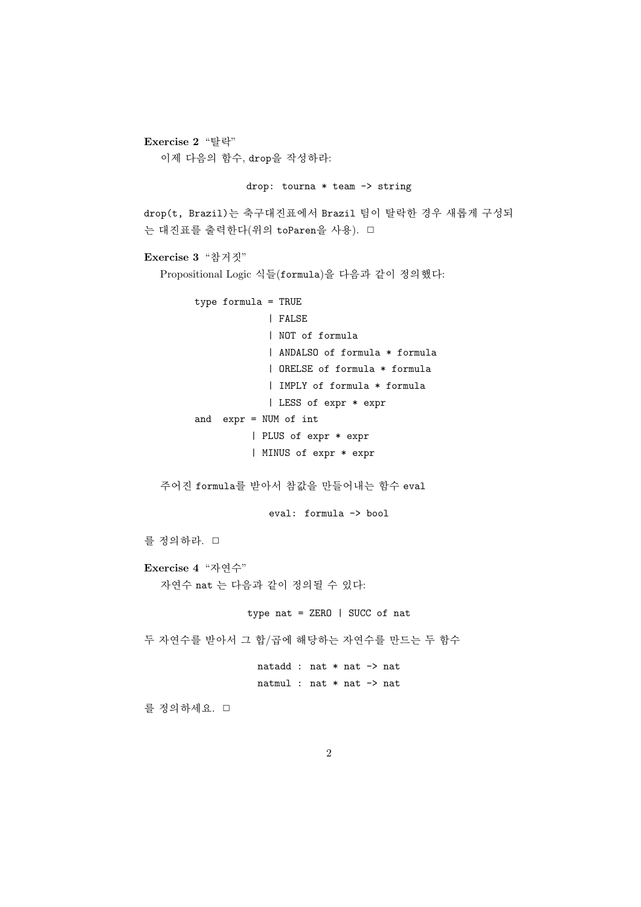```
Exercise 2 "탈락"
  이제 다음의 함수, drop을 작성하라:
               drop: tourna * team -> string
drop(t, Brazil)는 축구대진표에서 Brazil 팀이 탈락한 경우 새롭게 구성되
는 대진표를 출력한다(위의 toParen을 사용). □
Exercise 3 "참거짓"
  Propositional Logic 식들(formula)을 다음과 같이 정의했다:
       type formula = TRUE
                   | FALSE
                   | NOT of formula
                   | ANDALSO of formula * formula
                   | ORELSE of formula * formula
                   | IMPLY of formula * formula
                   | LESS of expr * expr
       and expr = NUM of int
                | PLUS of expr * expr
                | MINUS of expr * expr
  주어진 formula를 받아서 참값을 만들어내는 함수 eval
                   eval: formula -> bool
를 정의하라. □
Exercise 4 "자연수"
  자연수 nat 는 다음과 같이 정의될 수 있다:
                type nat = ZERO | SUCC of nat
두 자연수를 받아서 그 합/곱에 해당하는 자연수를 만드는 두 함수
                 natadd : nat * nat -> nat
                 natmul : nat * nat -> nat
를 정의하세요. □
```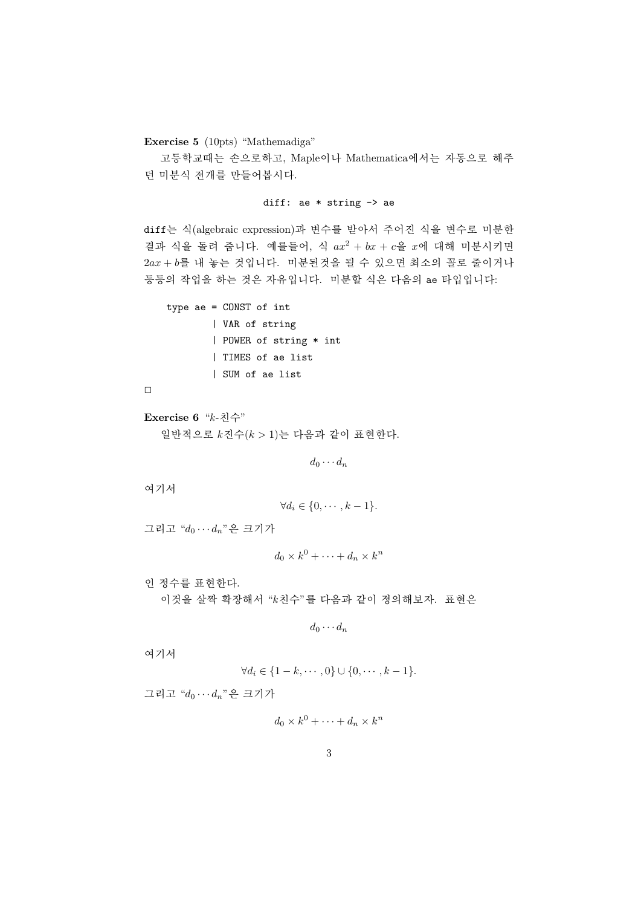Exercise 5 (10pts) "Mathemadiga"

고등학교때는 손으로하고, Maple이나 Mathematica에서는 자동으로 해주 던 미분식 전개를 만들어봅시다.

#### diff: ae \* string -> ae

diff는 식(algebraic expression)과 변수를 받아서 주어진 식을 변수로 미분한 결과 식을 돌려 줍니다. 예를들어, 식  $ax^2 + bx + c$ 을  $x$ 에 대해 미분시키면  $2ax + b$ 를 내 놓는 것입니다. 미분된것을 될 수 있으면 최소의 꼴로 줄이거나 등등의 작업을 하는 것은 자유입니다. 미분할 식은 다음의 ae 타입입니다:

```
type ae = CONST of int
        | VAR of string
        | POWER of string * int
        | TIMES of ae list
        | SUM of ae list
```

```
\Box
```

```
Exercise 6 "k-친수"
  일반적으로 k진수(k > 1)는 다음과 같이 표현한다.
```
 $d_0 \cdots d_n$ 

여기서

$$
\forall d_i \in \{0, \cdots, k-1\}.
$$

그리고  $d_0 \cdots d_n$ "은 크기가

 $d_0 \times k^0 + \cdots + d_n \times k^n$ 

인 정수를 표현한다. 이것을 살짝 확장해서 "k친수"를 다음과 같이 정의해보자. 표현은

$$
d_0\cdots d_n
$$

여기서

$$
\forall d_i \in \{1-k, \cdots, 0\} \cup \{0, \cdots, k-1\}.
$$

그리고  $d_0 \cdots d_n$ "은 크기가

$$
d_0 \times k^0 + \dots + d_n \times k^n
$$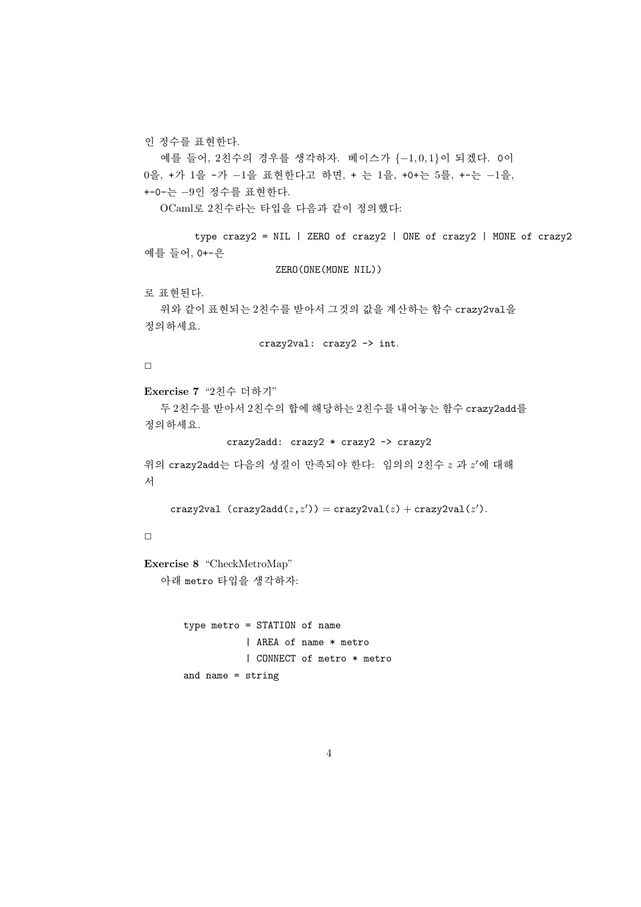인 정수를 표현한다.

예를 들어, 2친수의 경우를 생각하자. 베이스가 {−1, 0, 1}이 되겠다. 0이 0을, +가 1을 -가 −1을 표현한다고 하면, + 는 1을, +0+는 5를, +-는 −1을, +-0-는 −9인 정수를 표현한다.

OCaml로 2친수라는 타입을 다음과 같이 정의했다:

```
type crazy2 = NIL | ZERO of crazy2 | ONE of crazy2 | MONE of crazy2
예를 들어, 0+-은
```
ZERO(ONE(MONE NIL))

로 표현된다.

```
위와 같이 표현되는 2친수를 받아서 그것의 값을 계산하는 함수 crazy2val을
정의하세요.
```
crazy2val: crazy2 -> int.

 $\Box$ 

```
Exercise 7 "2친수 더하기"
```
두 2친수를 받아서 2친수의 합에 해당하는 2친수를 내어놓는 함수 crazy2add를 정의하세요.

crazy2add: crazy2 \* crazy2 -> crazy2

```
위의 crazy2add는 다음의 성질이 만족되야 한다: 임의의 2친수 z 과 z'에 대해
서
```

```
crazy2val (crazy2add(z, z')) = crazy2val(z) + crazy2val(z').
```
# $\Box$

```
Exercise 8 "CheckMetroMap"
```
아래 metro 타입을 생각하자:

```
type metro = STATION of name
           | AREA of name * metro
           | CONNECT of metro * metro
and name = string
```